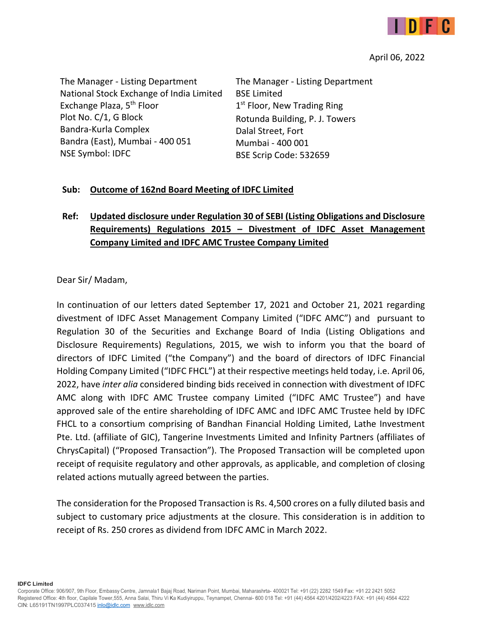

#### April 06, 2022

The Manager ‐ Listing Department National Stock Exchange of India Limited Exchange Plaza, 5<sup>th</sup> Floor Plot No. C/1, G Block Bandra‐Kurla Complex Bandra (East), Mumbai ‐ 400 051 NSE Symbol: IDFC

The Manager ‐ Listing Department BSE Limited  $1<sup>st</sup>$  Floor, New Trading Ring Rotunda Building, P. J. Towers Dalal Street, Fort Mumbai ‐ 400 001 BSE Scrip Code: 532659

#### **Sub: Outcome of 162nd Board Meeting of IDFC Limited**

# **Ref: Updated disclosure under Regulation 30 of SEBI (Listing Obligations and Disclosure Requirements) Regulations 2015 – Divestment of IDFC Asset Management Company Limited and IDFC AMC Trustee Company Limited**

Dear Sir/ Madam,

In continuation of our letters dated September 17, 2021 and October 21, 2021 regarding divestment of IDFC Asset Management Company Limited ("IDFC AMC") and pursuant to Regulation 30 of the Securities and Exchange Board of India (Listing Obligations and Disclosure Requirements) Regulations, 2015, we wish to inform you that the board of directors of IDFC Limited ("the Company") and the board of directors of IDFC Financial Holding Company Limited ("IDFC FHCL") at their respective meetings held today, i.e. April 06, 2022, have *inter alia* considered binding bids received in connection with divestment of IDFC AMC along with IDFC AMC Trustee company Limited ("IDFC AMC Trustee") and have approved sale of the entire shareholding of IDFC AMC and IDFC AMC Trustee held by IDFC FHCL to a consortium comprising of Bandhan Financial Holding Limited, Lathe Investment Pte. Ltd. (affiliate of GIC), Tangerine Investments Limited and Infinity Partners (affiliates of ChrysCapital) ("Proposed Transaction"). The Proposed Transaction will be completed upon receipt of requisite regulatory and other approvals, as applicable, and completion of closing related actions mutually agreed between the parties.

The consideration for the Proposed Transaction is Rs. 4,500 crores on a fully diluted basis and subject to customary price adjustments at the closure. This consideration is in addition to receipt of Rs. 250 crores as dividend from IDFC AMC in March 2022.

**IDFC Limited**

Corporate Office: 906/907, 9th Floor, Embassy Centre, Jamnala1 Bajaj Road, Nariman Point, Mumbai, Maharashrta- 400021 Tel: +91 (22) 2282 1549 Fax: +91 22 2421 5052 Registered Office: 4th floor, Capilale Tower,555, Anna Salai, Thiru Vi Ka Kudiyiruppu, Teynampet, Chennai- 600 018 Tel: +91 (44) 4564 4201/4202/4223 FAX: +91 (44) 4564 4222 CIN: L65191TN1997PLC037415 inlo@idlc.com www.idlc.com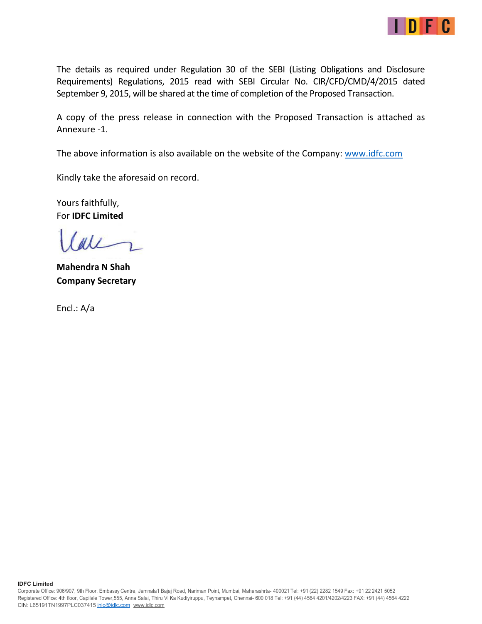

The details as required under Regulation 30 of the SEBI (Listing Obligations and Disclosure Requirements) Regulations, 2015 read with SEBI Circular No. CIR/CFD/CMD/4/2015 dated September 9, 2015, will be shared at the time of completion of the Proposed Transaction.

A copy of the press release in connection with the Proposed Transaction is attached as Annexure ‐1.

The above information is also available on the website of the Company: www.idfc.com

Kindly take the aforesaid on record.

Yours faithfully, For **IDFC Limited** 

 $d\ell$ 

**Mahendra N Shah Company Secretary** 

Encl.: A/a

**IDFC Limited**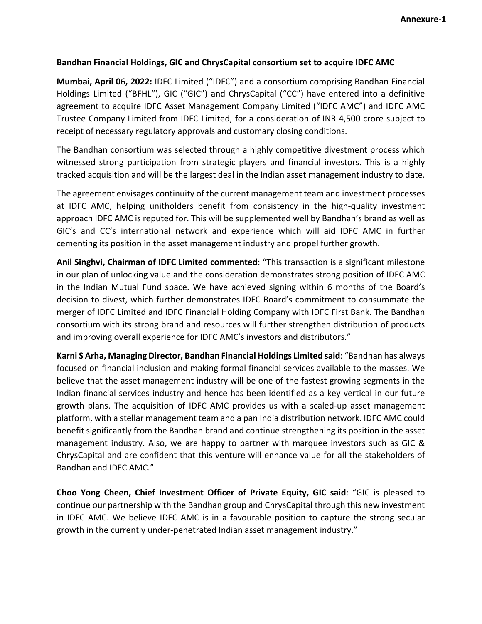#### **Bandhan Financial Holdings, GIC and ChrysCapital consortium set to acquire IDFC AMC**

**Mumbai, April 0**6**, 2022:** IDFC Limited ("IDFC") and a consortium comprising Bandhan Financial Holdings Limited ("BFHL"), GIC ("GIC") and ChrysCapital ("CC") have entered into a definitive agreement to acquire IDFC Asset Management Company Limited ("IDFC AMC") and IDFC AMC Trustee Company Limited from IDFC Limited, for a consideration of INR 4,500 crore subject to receipt of necessary regulatory approvals and customary closing conditions.

The Bandhan consortium was selected through a highly competitive divestment process which witnessed strong participation from strategic players and financial investors. This is a highly tracked acquisition and will be the largest deal in the Indian asset management industry to date.

The agreement envisages continuity of the current management team and investment processes at IDFC AMC, helping unitholders benefit from consistency in the high-quality investment approach IDFC AMC is reputed for. This will be supplemented well by Bandhan's brand as well as GIC's and CC's international network and experience which will aid IDFC AMC in further cementing its position in the asset management industry and propel further growth.

**Anil Singhvi, Chairman of IDFC Limited commented**: "This transaction is a significant milestone in our plan of unlocking value and the consideration demonstrates strong position of IDFC AMC in the Indian Mutual Fund space. We have achieved signing within 6 months of the Board's decision to divest, which further demonstrates IDFC Board's commitment to consummate the merger of IDFC Limited and IDFC Financial Holding Company with IDFC First Bank. The Bandhan consortium with its strong brand and resources will further strengthen distribution of products and improving overall experience for IDFC AMC's investors and distributors."

**Karni S Arha, Managing Director, Bandhan Financial Holdings Limited said**: "Bandhan has always focused on financial inclusion and making formal financial services available to the masses. We believe that the asset management industry will be one of the fastest growing segments in the Indian financial services industry and hence has been identified as a key vertical in our future growth plans. The acquisition of IDFC AMC provides us with a scaled‐up asset management platform, with a stellar management team and a pan India distribution network. IDFC AMC could benefit significantly from the Bandhan brand and continue strengthening its position in the asset management industry. Also, we are happy to partner with marquee investors such as GIC & ChrysCapital and are confident that this venture will enhance value for all the stakeholders of Bandhan and IDFC AMC."

**Choo Yong Cheen, Chief Investment Officer of Private Equity, GIC said**: "GIC is pleased to continue our partnership with the Bandhan group and ChrysCapital through this new investment in IDFC AMC. We believe IDFC AMC is in a favourable position to capture the strong secular growth in the currently under‐penetrated Indian asset management industry."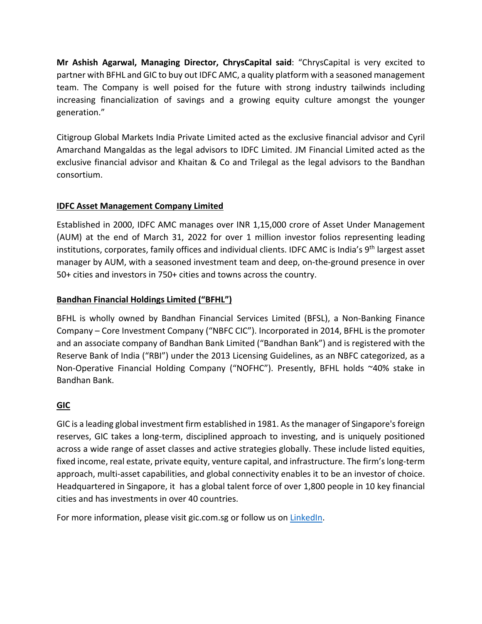**Mr Ashish Agarwal, Managing Director, ChrysCapital said**: "ChrysCapital is very excited to partner with BFHL and GIC to buy out IDFC AMC, a quality platform with a seasoned management team. The Company is well poised for the future with strong industry tailwinds including increasing financialization of savings and a growing equity culture amongst the younger generation."

Citigroup Global Markets India Private Limited acted as the exclusive financial advisor and Cyril Amarchand Mangaldas as the legal advisors to IDFC Limited. JM Financial Limited acted as the exclusive financial advisor and Khaitan & Co and Trilegal as the legal advisors to the Bandhan consortium.

### **IDFC Asset Management Company Limited**

Established in 2000, IDFC AMC manages over INR 1,15,000 crore of Asset Under Management (AUM) at the end of March 31, 2022 for over 1 million investor folios representing leading institutions, corporates, family offices and individual clients. IDFC AMC is India's 9<sup>th</sup> largest asset manager by AUM, with a seasoned investment team and deep, on-the-ground presence in over 50+ cities and investors in 750+ cities and towns across the country.

### **Bandhan Financial Holdings Limited ("BFHL")**

BFHL is wholly owned by Bandhan Financial Services Limited (BFSL), a Non‐Banking Finance Company – Core Investment Company ("NBFC CIC"). Incorporated in 2014, BFHL is the promoter and an associate company of Bandhan Bank Limited ("Bandhan Bank") and is registered with the Reserve Bank of India ("RBI") under the 2013 Licensing Guidelines, as an NBFC categorized, as a Non‐Operative Financial Holding Company ("NOFHC"). Presently, BFHL holds ~40% stake in Bandhan Bank.

## **GIC**

GIC is a leading global investment firm established in 1981. As the manager of Singapore's foreign reserves, GIC takes a long‐term, disciplined approach to investing, and is uniquely positioned across a wide range of asset classes and active strategies globally. These include listed equities, fixed income, real estate, private equity, venture capital, and infrastructure. The firm's long-term approach, multi‐asset capabilities, and global connectivity enables it to be an investor of choice. Headquartered in Singapore, it has a global talent force of over 1,800 people in 10 key financial cities and has investments in over 40 countries.

For more information, please visit gic.com.sg or follow us on LinkedIn.